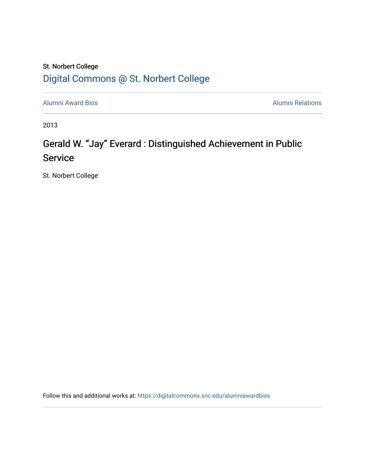### St. Norbert College [Digital Commons @ St. Norbert College](https://digitalcommons.snc.edu/)

[Alumni Award Bios](https://digitalcommons.snc.edu/alumniawardbios) **Alumni Relations** Alumni Relations

2013

## Gerald W. "Jay" Everard : Distinguished Achievement in Public **Service**

St. Norbert College

Follow this and additional works at: [https://digitalcommons.snc.edu/alumniawardbios](https://digitalcommons.snc.edu/alumniawardbios?utm_source=digitalcommons.snc.edu%2Falumniawardbios%2F51&utm_medium=PDF&utm_campaign=PDFCoverPages)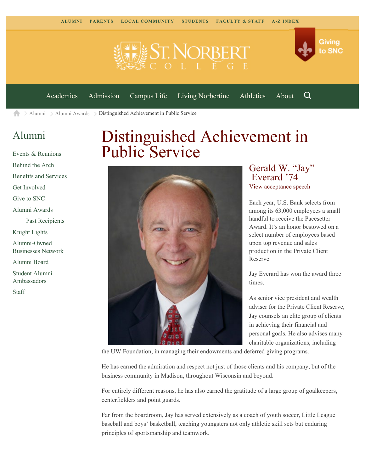



[Academics](https://www.snc.edu/academics) [Admission](https://www.snc.edu/admission) [Campus Life](https://www.snc.edu/campuslife) [Living Norbertine](https://www.snc.edu/livingnorbertine) [Athletics](https://www.snc.edu/athletics) [About](https://www.snc.edu/about)

Q

[Alumni](https://www.snc.edu/alumni/) [Alumni Awards](https://www.snc.edu/alumni/awards/) Distinguished Achievement in Public Service A

#### [Alumni](https://www.snc.edu/alumni/index.html)

[Events & Reunions](https://www.snc.edu/alumni/event/index.html) [Behind the Arch](https://www.snc.edu/alumni/event/behindthearch/) [Benefits and Services](https://www.snc.edu/alumni/benefits.html) [Get Involved](https://www.snc.edu/alumni/getinvolved.html) [Give to SNC](http://giving.snc.edu/) [Alumni Awards](https://www.snc.edu/alumni/awards/index.html) [Past Recipients](https://www.snc.edu/alumni/awards/recipients.html) [Knight Lights](https://www.snc.edu/alumni/knightlights/index.html) [Alumni-Owned](https://www.snc.edu/alumni/directory/index.html) [Businesses Network](https://www.snc.edu/alumni/directory/index.html) [Alumni Board](https://www.snc.edu/alumni/alumniboard.html) [Student Alumni](https://www.snc.edu/alumni/saa.html) [Ambassadors](https://www.snc.edu/alumni/saa.html) [Staff](https://www.snc.edu/alumni/contactus.html)

# Distinguished Achievement in Public Service



#### Gerald W. "Jay" Everard '74 [View acceptance speech](https://cascadex.snc.edu:8443/entity/edit.act?id=9c81cb758a4a06875249c469358582da&type=page#highlight)

Each year, U.S. Bank selects from among its 63,000 employees a small handful to receive the Pacesetter Award. It's an honor bestowed on a select number of employees based upon top revenue and sales production in the Private Client Reserve.

Jay Everard has won the award three times.

As senior vice president and wealth adviser for the Private Client Reserve, Jay counsels an elite group of clients in achieving their financial and personal goals. He also advises many charitable organizations, including

the UW Foundation, in managing their endowments and deferred giving programs.

He has earned the admiration and respect not just of those clients and his company, but of the business community in Madison, throughout Wisconsin and beyond.

For entirely different reasons, he has also earned the gratitude of a large group of goalkeepers, centerfielders and point guards.

Far from the boardroom, Jay has served extensively as a coach of youth soccer, Little League baseball and boys' basketball, teaching youngsters not only athletic skill sets but enduring principles of sportsmanship and teamwork.